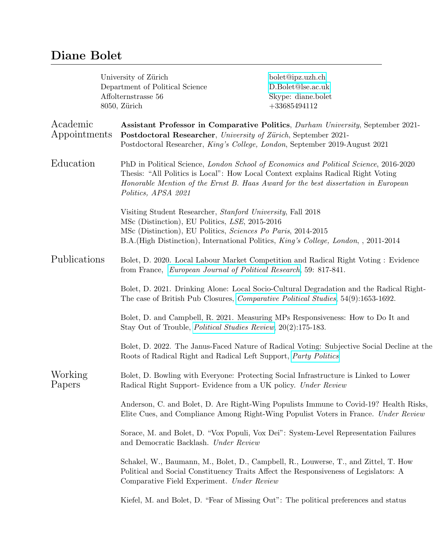## Diane Bolet

| University of Zürich<br>Department of Political Science<br>Affolternstrasse 56<br>8050, Zürich |                                                                                                                                                                               | bolet@ipz.uzh.ch<br>D.Bolet@lse.ac.uk<br>Skype: diane.bolet<br>$+33685494112$                                                                                                                                                                                   |  |
|------------------------------------------------------------------------------------------------|-------------------------------------------------------------------------------------------------------------------------------------------------------------------------------|-----------------------------------------------------------------------------------------------------------------------------------------------------------------------------------------------------------------------------------------------------------------|--|
| Academic<br>Appointments                                                                       | Postdoctoral Researcher, University of Zürich, September 2021-                                                                                                                | Assistant Professor in Comparative Politics, Durham University, September 2021-<br>Postdoctoral Researcher, King's College, London, September 2019-August 2021                                                                                                  |  |
| Education                                                                                      | Politics, APSA 2021                                                                                                                                                           | PhD in Political Science, London School of Economics and Political Science, 2016-2020<br>Thesis: "All Politics is Local": How Local Context explains Radical Right Voting<br>Honorable Mention of the Ernst B. Haas Award for the best dissertation in European |  |
|                                                                                                | Visiting Student Researcher, Stanford University, Fall 2018<br>MSc (Distinction), EU Politics, LSE, 2015-2016<br>MSc (Distinction), EU Politics, Sciences Po Paris, 2014-2015 | B.A. (High Distinction), International Politics, King's College, London, , 2011-2014                                                                                                                                                                            |  |
| Publications                                                                                   | Bolet, D. 2020. Local Labour Market Competition and Radical Right Voting : Evidence<br>from France, European Journal of Political Research, 59: 817-841.                      |                                                                                                                                                                                                                                                                 |  |
|                                                                                                |                                                                                                                                                                               | Bolet, D. 2021. Drinking Alone: Local Socio-Cultural Degradation and the Radical Right-<br>The case of British Pub Closures, <i>Comparative Political Studies</i> , 54(9):1653-1692.                                                                            |  |
|                                                                                                | Stay Out of Trouble, <i>Political Studies Review</i> , 20(2):175-183.                                                                                                         | Bolet, D. and Campbell, R. 2021. Measuring MPs Responsiveness: How to Do It and                                                                                                                                                                                 |  |
|                                                                                                | Roots of Radical Right and Radical Left Support, Party Politics                                                                                                               | Bolet, D. 2022. The Janus-Faced Nature of Radical Voting: Subjective Social Decline at the                                                                                                                                                                      |  |
| Working<br>Papers                                                                              | Radical Right Support-Evidence from a UK policy. Under Review                                                                                                                 | Bolet, D. Bowling with Everyone: Protecting Social Infrastructure is Linked to Lower                                                                                                                                                                            |  |
|                                                                                                |                                                                                                                                                                               | Anderson, C. and Bolet, D. Are Right-Wing Populists Immune to Covid-19? Health Risks,<br>Elite Cues, and Compliance Among Right-Wing Populist Voters in France. Under Review                                                                                    |  |
|                                                                                                | and Democratic Backlash. Under Review                                                                                                                                         | Sorace, M. and Bolet, D. "Vox Populi, Vox Dei": System-Level Representation Failures                                                                                                                                                                            |  |
|                                                                                                | Comparative Field Experiment. Under Review                                                                                                                                    | Schakel, W., Baumann, M., Bolet, D., Campbell, R., Louwerse, T., and Zittel, T. How<br>Political and Social Constituency Traits Affect the Responsiveness of Legislators: A                                                                                     |  |
|                                                                                                |                                                                                                                                                                               | Kiefel, M. and Bolet, D. "Fear of Missing Out": The political preferences and status                                                                                                                                                                            |  |